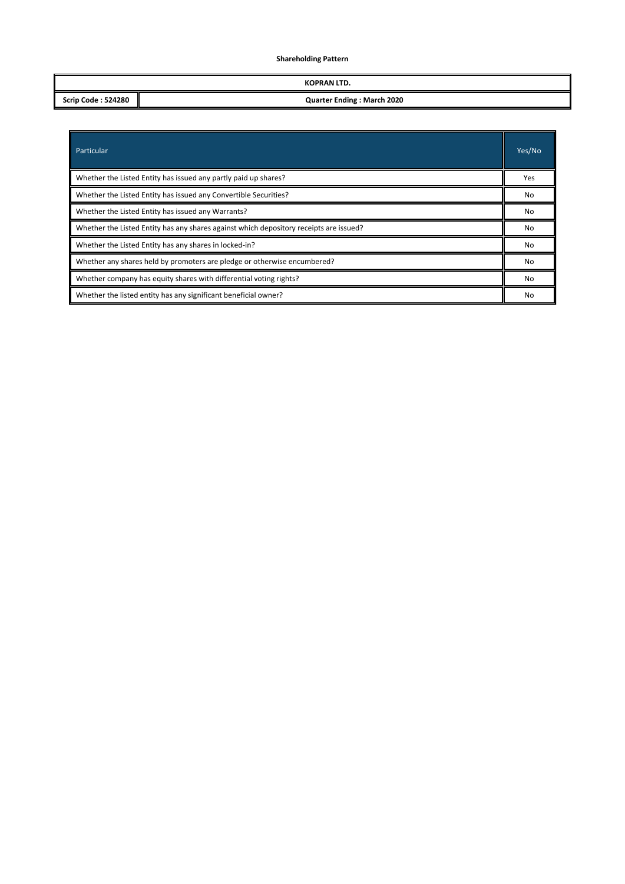# **Shareholding Pattern**

|                           | KOPRAN LTD.                       |
|---------------------------|-----------------------------------|
| <b>Scrip Code: 524280</b> | <b>Quarter Ending: March 2020</b> |

| Particular                                                                             | Yes/No    |  |  |  |  |
|----------------------------------------------------------------------------------------|-----------|--|--|--|--|
| Whether the Listed Entity has issued any partly paid up shares?                        | Yes       |  |  |  |  |
| Whether the Listed Entity has issued any Convertible Securities?                       | <b>No</b> |  |  |  |  |
| Whether the Listed Entity has issued any Warrants?                                     |           |  |  |  |  |
| Whether the Listed Entity has any shares against which depository receipts are issued? |           |  |  |  |  |
| Whether the Listed Entity has any shares in locked-in?                                 |           |  |  |  |  |
| Whether any shares held by promoters are pledge or otherwise encumbered?               |           |  |  |  |  |
| Whether company has equity shares with differential voting rights?                     |           |  |  |  |  |
| Whether the listed entity has any significant beneficial owner?                        | No        |  |  |  |  |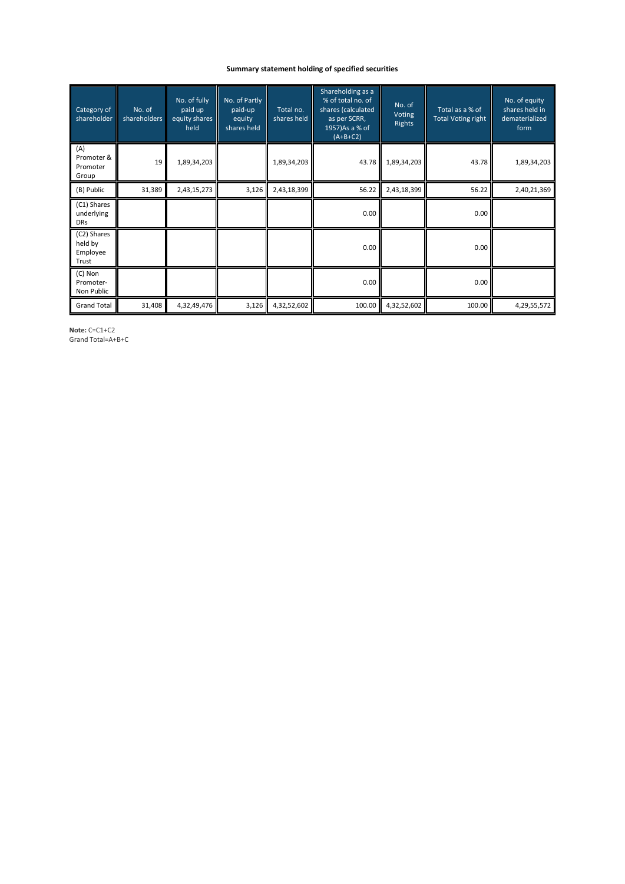# **Summary statement holding of specified securities**

| Category of<br>shareholder                  | No. of<br>shareholders | No. of fully<br>paid up<br>equity shares<br>held | No. of Partly<br>paid-up<br>equity<br>shares held | Total no.<br>shares held | Shareholding as a<br>% of total no. of<br>shares (calculated<br>as per SCRR,<br>1957) As a % of<br>$(A+B+C2)$ | No. of<br><b>Voting</b><br><b>Rights</b> | Total as a % of<br><b>Total Voting right</b> | No. of equity<br>shares held in<br>dematerialized<br>form |
|---------------------------------------------|------------------------|--------------------------------------------------|---------------------------------------------------|--------------------------|---------------------------------------------------------------------------------------------------------------|------------------------------------------|----------------------------------------------|-----------------------------------------------------------|
| (A)<br>Promoter &<br>Promoter<br>Group      | 19                     | 1,89,34,203                                      |                                                   | 1,89,34,203              | 43.78                                                                                                         | 1,89,34,203                              | 43.78                                        | 1,89,34,203                                               |
| (B) Public                                  | 31,389                 | 2,43,15,273                                      | 3,126                                             | 2,43,18,399              | 56.22                                                                                                         | 2,43,18,399                              | 56.22                                        | 2,40,21,369                                               |
| (C1) Shares<br>underlying<br><b>DRs</b>     |                        |                                                  |                                                   |                          | 0.00                                                                                                          |                                          | 0.00                                         |                                                           |
| (C2) Shares<br>held by<br>Employee<br>Trust |                        |                                                  |                                                   |                          | 0.00                                                                                                          |                                          | 0.00                                         |                                                           |
| (C) Non<br>Promoter-<br>Non Public          |                        |                                                  |                                                   |                          | 0.00                                                                                                          |                                          | 0.00                                         |                                                           |
| <b>Grand Total</b>                          | 31,408                 | 4,32,49,476                                      | 3,126                                             | 4,32,52,602              | 100.00                                                                                                        | 4,32,52,602                              | 100.00                                       | 4,29,55,572                                               |

**Note:** C=C1+C2 Grand Total=A+B+C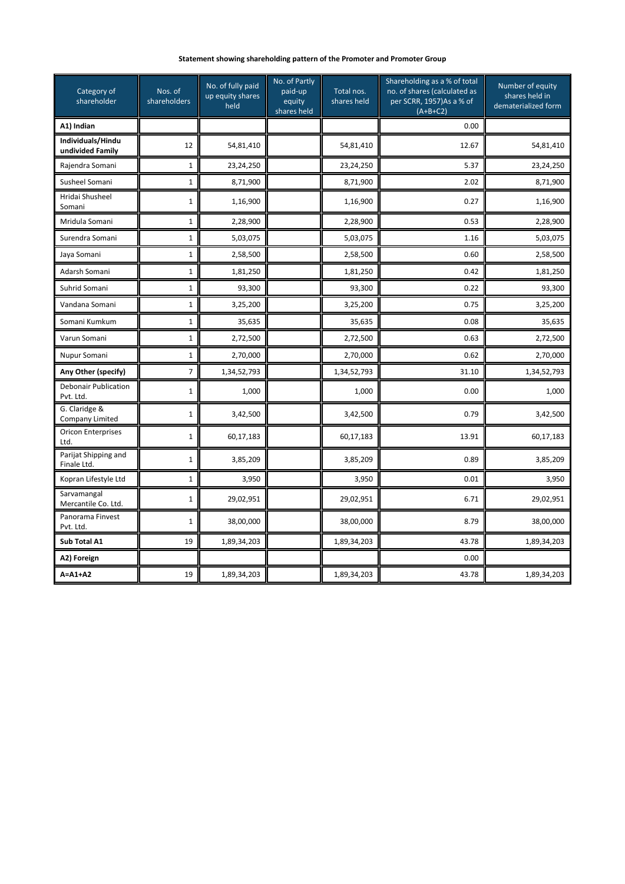# **Statement showing shareholding pattern of the Promoter and Promoter Group**

| Category of<br>shareholder               | Nos. of<br>shareholders | No. of fully paid<br>up equity shares<br>held | No. of Partly<br>paid-up<br>equity<br>shares held | Total nos.<br>shares held | Shareholding as a % of total<br>no. of shares (calculated as<br>per SCRR, 1957)As a % of<br>$(A+B+C2)$ | Number of equity<br>shares held in<br>dematerialized form |
|------------------------------------------|-------------------------|-----------------------------------------------|---------------------------------------------------|---------------------------|--------------------------------------------------------------------------------------------------------|-----------------------------------------------------------|
| A1) Indian                               |                         |                                               |                                                   |                           | 0.00                                                                                                   |                                                           |
| Individuals/Hindu<br>undivided Family    | 12                      | 54,81,410                                     |                                                   | 54,81,410                 | 12.67                                                                                                  | 54,81,410                                                 |
| Rajendra Somani                          | 1                       | 23,24,250                                     |                                                   | 23,24,250                 | 5.37                                                                                                   | 23,24,250                                                 |
| Susheel Somani                           | 1                       | 8,71,900                                      |                                                   | 8,71,900                  | 2.02                                                                                                   | 8,71,900                                                  |
| Hridai Shusheel<br>Somani                | 1                       | 1,16,900                                      |                                                   | 1,16,900                  | 0.27                                                                                                   | 1,16,900                                                  |
| Mridula Somani                           | 1                       | 2,28,900                                      |                                                   | 2,28,900                  | 0.53                                                                                                   | 2,28,900                                                  |
| Surendra Somani                          | 1                       | 5,03,075                                      |                                                   | 5,03,075                  | 1.16                                                                                                   | 5,03,075                                                  |
| Jaya Somani                              | 1                       | 2,58,500                                      |                                                   | 2,58,500                  | 0.60                                                                                                   | 2,58,500                                                  |
| Adarsh Somani                            | 1                       | 1,81,250                                      |                                                   | 1,81,250                  | 0.42                                                                                                   | 1,81,250                                                  |
| Suhrid Somani                            | 1                       | 93,300                                        |                                                   | 93,300                    | 0.22                                                                                                   | 93,300                                                    |
| Vandana Somani                           | 1                       | 3,25,200                                      |                                                   | 3,25,200                  | 0.75                                                                                                   | 3,25,200                                                  |
| Somani Kumkum                            | 1                       | 35,635                                        |                                                   | 35,635                    | 0.08                                                                                                   | 35,635                                                    |
| Varun Somani                             | 1                       | 2,72,500                                      |                                                   | 2,72,500                  | 0.63                                                                                                   | 2,72,500                                                  |
| Nupur Somani                             | $\mathbf{1}$            | 2,70,000                                      |                                                   | 2,70,000                  | 0.62                                                                                                   | 2,70,000                                                  |
| Any Other (specify)                      | 7                       | 1,34,52,793                                   |                                                   | 1,34,52,793               | 31.10                                                                                                  | 1,34,52,793                                               |
| <b>Debonair Publication</b><br>Pvt. Ltd. | 1                       | 1,000                                         |                                                   | 1,000                     | 0.00                                                                                                   | 1,000                                                     |
| G. Claridge &<br><b>Company Limited</b>  | $\mathbf{1}$            | 3,42,500                                      |                                                   | 3,42,500                  | 0.79                                                                                                   | 3,42,500                                                  |
| <b>Oricon Enterprises</b><br>Ltd.        | 1                       | 60,17,183                                     |                                                   | 60,17,183                 | 13.91                                                                                                  | 60,17,183                                                 |
| Parijat Shipping and<br>Finale Ltd.      | 1                       | 3,85,209                                      |                                                   | 3,85,209                  | 0.89                                                                                                   | 3,85,209                                                  |
| Kopran Lifestyle Ltd                     | 1                       | 3,950                                         |                                                   | 3,950                     | 0.01                                                                                                   | 3,950                                                     |
| Sarvamangal<br>Mercantile Co. Ltd.       | $\mathbf{1}$            | 29,02,951                                     |                                                   | 29,02,951                 | 6.71                                                                                                   | 29,02,951                                                 |
| Panorama Finvest<br>Pvt. Ltd.            | 1                       | 38,00,000                                     |                                                   | 38,00,000                 | 8.79                                                                                                   | 38,00,000                                                 |
| Sub Total A1                             | 19                      | 1,89,34,203                                   |                                                   | 1,89,34,203               | 43.78                                                                                                  | 1,89,34,203                                               |
| A2) Foreign                              |                         |                                               |                                                   |                           | 0.00                                                                                                   |                                                           |
| $A = A1 + A2$                            | 19                      | 1,89,34,203                                   |                                                   | 1,89,34,203               | 43.78                                                                                                  | 1,89,34,203                                               |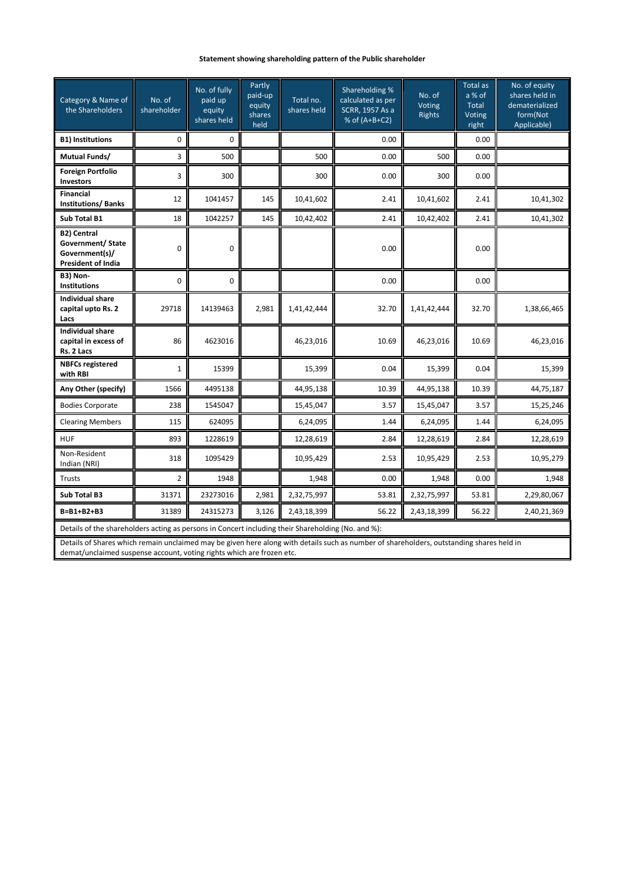# **Statement showing shareholding pattern of the Public shareholder**

| Category & Name of<br>the Shareholders                                                                                                   | No. of<br>shareholder | No. of fully<br>paid up<br>equity<br>shares held | Partly<br>paid-up<br>equity<br>shares<br>held | Total no.<br>shares held | Shareholding %<br>calculated as per<br>SCRR, 1957 As a<br>% of (A+B+C2) | No. of<br>Voting<br><b>Rights</b> | <b>Total as</b><br>a % of<br>Total<br>Voting<br>right | No. of equity<br>shares held in<br>dematerialized<br>form(Not<br>Applicable) |  |
|------------------------------------------------------------------------------------------------------------------------------------------|-----------------------|--------------------------------------------------|-----------------------------------------------|--------------------------|-------------------------------------------------------------------------|-----------------------------------|-------------------------------------------------------|------------------------------------------------------------------------------|--|
| <b>B1) Institutions</b>                                                                                                                  | 0                     | 0                                                |                                               |                          | 0.00                                                                    |                                   | 0.00                                                  |                                                                              |  |
| <b>Mutual Funds/</b>                                                                                                                     | 3                     | 500                                              |                                               | 500                      | 0.00                                                                    | 500                               | 0.00                                                  |                                                                              |  |
| <b>Foreign Portfolio</b><br><b>Investors</b>                                                                                             | 3                     | 300                                              |                                               | 300                      | 0.00                                                                    | 300                               | 0.00                                                  |                                                                              |  |
| <b>Financial</b><br><b>Institutions/Banks</b>                                                                                            | 12                    | 1041457                                          | 145                                           | 10,41,602                | 2.41                                                                    | 10,41,602                         | 2.41                                                  | 10,41,302                                                                    |  |
| <b>Sub Total B1</b>                                                                                                                      | 18                    | 1042257                                          | 145                                           | 10,42,402                | 2.41                                                                    | 10,42,402                         | 2.41                                                  | 10,41,302                                                                    |  |
| <b>B2) Central</b><br>Government/ State<br>Government(s)/<br><b>President of India</b>                                                   | 0                     | $\pmb{0}$                                        |                                               |                          | 0.00                                                                    |                                   | 0.00                                                  |                                                                              |  |
| B3) Non-<br><b>Institutions</b>                                                                                                          | 0                     | $\mathbf 0$                                      |                                               |                          | 0.00                                                                    |                                   | 0.00                                                  |                                                                              |  |
| <b>Individual share</b><br>capital upto Rs. 2<br>Lacs                                                                                    | 29718                 | 14139463                                         | 2,981                                         | 1,41,42,444              | 32.70                                                                   | 1,41,42,444                       | 32.70                                                 | 1,38,66,465                                                                  |  |
| <b>Individual share</b><br>capital in excess of<br>Rs. 2 Lacs                                                                            | 86                    | 4623016                                          |                                               | 46,23,016                | 10.69                                                                   | 46,23,016                         | 10.69                                                 | 46,23,016                                                                    |  |
| <b>NBFCs registered</b><br>with RBI                                                                                                      | $\mathbf{1}$          | 15399                                            |                                               | 15,399                   | 0.04                                                                    | 15,399                            | 0.04                                                  | 15,399                                                                       |  |
| Any Other (specify)                                                                                                                      | 1566                  | 4495138                                          |                                               | 44,95,138                | 10.39                                                                   | 44,95,138                         | 10.39                                                 | 44,75,187                                                                    |  |
| <b>Bodies Corporate</b>                                                                                                                  | 238                   | 1545047                                          |                                               | 15,45,047                | 3.57                                                                    | 15,45,047                         | 3.57                                                  | 15,25,246                                                                    |  |
| <b>Clearing Members</b>                                                                                                                  | 115                   | 624095                                           |                                               | 6,24,095                 | 1.44                                                                    | 6,24,095                          | 1.44                                                  | 6,24,095                                                                     |  |
| <b>HUF</b>                                                                                                                               | 893                   | 1228619                                          |                                               | 12,28,619                | 2.84                                                                    | 12,28,619                         | 2.84                                                  | 12,28,619                                                                    |  |
| Non-Resident<br>Indian (NRI)                                                                                                             | 318                   | 1095429                                          |                                               | 10,95,429                | 2.53                                                                    | 10,95,429                         | 2.53                                                  | 10,95,279                                                                    |  |
| Trusts                                                                                                                                   | $\overline{2}$        | 1948                                             |                                               | 1,948                    | 0.00                                                                    | 1,948                             | 0.00                                                  | 1,948                                                                        |  |
| <b>Sub Total B3</b>                                                                                                                      | 31371                 | 23273016                                         | 2,981                                         | 2,32,75,997              | 53.81                                                                   | 2,32,75,997                       | 53.81                                                 | 2,29,80,067                                                                  |  |
| $B = B1 + B2 + B3$                                                                                                                       | 31389                 | 24315273                                         | 3,126                                         | 2,43,18,399              | 56.22                                                                   | 2,43,18,399                       | 56.22                                                 | 2,40,21,369                                                                  |  |
| Details of the shareholders acting as persons in Concert including their Shareholding (No. and %):                                       |                       |                                                  |                                               |                          |                                                                         |                                   |                                                       |                                                                              |  |
| Details of Shares which remain unclaimed may be given here along with details such as number of shareholders, outstanding shares held in |                       |                                                  |                                               |                          |                                                                         |                                   |                                                       |                                                                              |  |

demat/unclaimed suspense account, voting rights which are frozen etc.